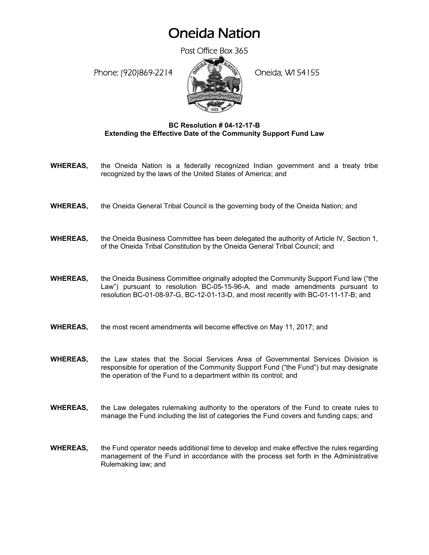## Oneida Nation

Post Office Box 365

Phone: (920)869-2214 (Oneida, WI 54155



## **BC Resolution # 04-12-17-B Extending the Effective Date of the Community Support Fund Law**

- **WHEREAS,** the Oneida Nation is a federally recognized Indian government and a treaty tribe recognized by the laws of the United States of America; and
- **WHEREAS,** the Oneida General Tribal Council is the governing body of the Oneida Nation; and
- **WHEREAS,** the Oneida Business Committee has been delegated the authority of Article IV, Section 1, of the Oneida Tribal Constitution by the Oneida General Tribal Council; and
- **WHEREAS,** the Oneida Business Committee originally adopted the Community Support Fund law ("the Law") pursuant to resolution BC-05-15-96-A, and made amendments pursuant to resolution BC-01-08-97-G, BC-12-01-13-D, and most recently with BC-01-11-17-B; and
- **WHEREAS,** the most recent amendments will become effective on May 11, 2017; and
- **WHEREAS,** the Law states that the Social Services Area of Governmental Services Division is responsible for operation of the Community Support Fund ("the Fund") but may designate the operation of the Fund to a department within its control; and
- **WHEREAS,** the Law delegates rulemaking authority to the operators of the Fund to create rules to manage the Fund including the list of categories the Fund covers and funding caps; and
- **WHEREAS,** the Fund operator needs additional time to develop and make effective the rules regarding management of the Fund in accordance with the process set forth in the Administrative Rulemaking law; and